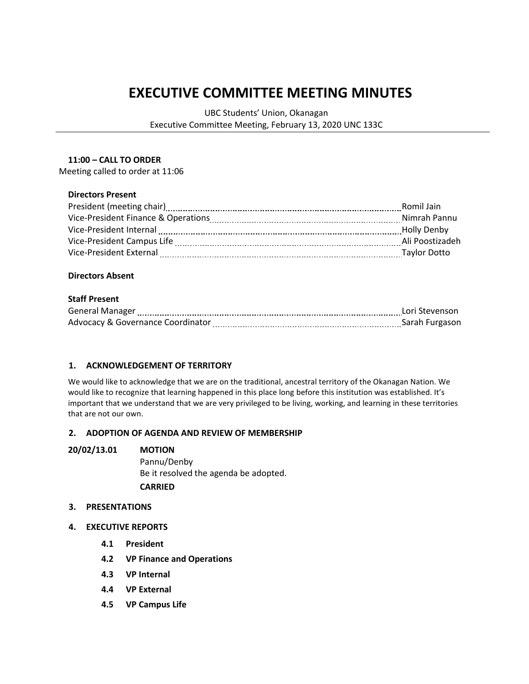# **EXECUTIVE COMMITTEE MEETING MINUTES**

UBC Students' Union, Okanagan Executive Committee Meeting, February 13, 2020 UNC 133C

#### **11:00 – CALL TO ORDER**

Meeting called to order at 11:06

#### **Directors Present**

| President (meeting chair)           | Romil Jain          |
|-------------------------------------|---------------------|
| Vice-President Finance & Operations | Nimrah Pannu        |
| Vice-President Internal             | <b>Holly Denby</b>  |
| Vice-President Campus Life          | Ali Poostizadeh     |
| Vice-President External             | <b>Taylor Dotto</b> |

## **Directors Absent**

## **Staff Present**

| <b>General Manager</b>            | Lori Stevenson |
|-----------------------------------|----------------|
| Advocacy & Governance Coordinator | Sarah Furgason |

### **1. ACKNOWLEDGEMENT OF TERRITORY**

We would like to acknowledge that we are on the traditional, ancestral territory of the Okanagan Nation. We would like to recognize that learning happened in this place long before this institution was established. It's important that we understand that we are very privileged to be living, working, and learning in these territories that are not our own.

#### **2. ADOPTION OF AGENDA AND REVIEW OF MEMBERSHIP**

#### **20/02/13.01 MOTION**

Pannu/Denby Be it resolved the agenda be adopted. **CARRIED**

#### **3. PRESENTATIONS**

- **4. EXECUTIVE REPORTS**
	- **4.1 President**
	- **4.2 VP Finance and Operations**
	- **4.3 VP Internal**
	- **4.4 VP External**
	- **4.5 VP Campus Life**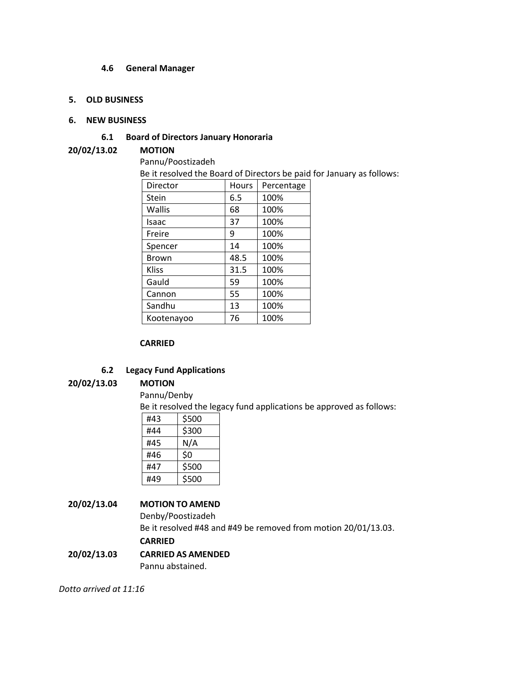#### **4.6 General Manager**

#### **5. OLD BUSINESS**

#### **6. NEW BUSINESS**

## **6.1 Board of Directors January Honoraria**

### **20/02/13.02 MOTION**

Pannu/Poostizadeh

Be it resolved the Board of Directors be paid for January as follows:

| Director     | Hours | Percentage |
|--------------|-------|------------|
| Stein        | 6.5   | 100%       |
| Wallis       | 68    | 100%       |
| Isaac        | 37    | 100%       |
| Freire       | 9     | 100%       |
| Spencer      | 14    | 100%       |
| Brown        | 48.5  | 100%       |
| <b>Kliss</b> | 31.5  | 100%       |
| Gauld        | 59    | 100%       |
| Cannon       | 55    | 100%       |
| Sandhu       | 13    | 100%       |
| Kootenayoo   | 76    | 100%       |

#### **CARRIED**

## **6.2 Legacy Fund Applications**

### **20/02/13.03 MOTION**

Pannu/Denby

Be it resolved the legacy fund applications be approved as follows:

| #43 | \$500 |
|-----|-------|
| #44 | \$300 |
| #45 | N/A   |
| #46 | \$0   |
| #47 | \$500 |
| #49 | \$500 |

## **20/02/13.04 MOTION TO AMEND**

Denby/Poostizadeh Be it resolved #48 and #49 be removed from motion 20/01/13.03.

# **CARRIED**

**20/02/13.03 CARRIED AS AMENDED** Pannu abstained.

*Dotto arrived at 11:16*